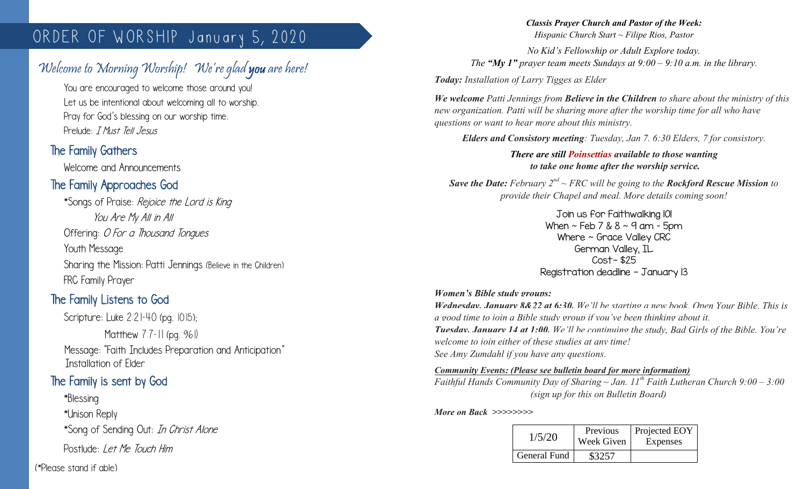# ORDER OF WORSHIP January 5, 2020

# Welcome to Morning Worship! We're glad you are here!

You are encouraged to welcome those around you! Let us be intentional about welcoming all to worship. Pray for God's blessing on our worship time. Prelude: *I Must Tell Jesus* 

### The Family Gathers

 $\overline{\phantom{a}}$ 

Welcome and Announcements

## The Family Approaches God

\*Songs of Praise: Rejoice the Lord is King You Are My All in All Offering: O For a Thousand Tonques Youth Message Sharing the Mission: Patti Jennings (Believe in the Children) FRC Family Prayer

## The Family Listens to God

Scripture: Luke 2:21-40 (pg. 1015); Matthew 7:7-11 (pg. 961) Message: "Faith Includes Preparation and Anticipation" Installation of Elder

#### The Family is sent by God

\*Blessing \*Unison Reply \*Song of Sending Out: In Christ Alone Postlude: Let Me Touch Him

(\*Please stand if able)

#### *Classis Prayer Church and Pastor of the Week:*

*Hispanic Church Start ~ Filipe Rios, Pastor*

*No Kid's Fellowship or Adult Explore today. The "My 1" prayer team meets Sundays at*  $9:00 - 9:10$  *a.m. in the library.* 

*Today: Installation of Larry Tigges as Elder* 

*We welcome Patti Jennings from Believe in the Children to share about the ministry of this new organization. Patti will be sharing more after the worship time for all who have questions or want to hear more about this ministry.*

*Elders and Consistory meeting: Tuesday, Jan 7. 6:30 Elders, 7 for consistory.*

*There are still Poinsettias available to those wanting to take one home after the worship service.*

*Save the Date: February 2nd ~ FRC will be going to the Rockford Rescue Mission to provide their Chapel and meal. More details coming soon!*

> Join us for Faithwalking 101 When  $\sim$  Feb 7 & 8  $\sim$  9 am - 5pm Where ~ Grace Valley CRC German Valley, IL Cost- \$25 Registration deadline - January 13

#### *Women's Bible study groups:*

*Wednesday, January 8&22 at 6:30. We'll be starting a new book, Open Your Bible. This is a good time to join a Bible study group if you've been thinking about it. Tuesday, January 14 at 1:00. We'll be continuing the study, Bad Girls of the Bible. You're welcome to join either of these studies at any time! See Amy Zumdahl if you have any questions.*

*Community Events: (Please see bulletin board for more information) Faithful Hands Community Day of Sharing ~ Jan. 11th Faith Lutheran Church 9:00 – 3:00 (sign up for this on Bulletin Board)*

*More on Back >>>>>>>>*

| 1/5/20       | Previous<br>Week Given | Projected EOY<br>Expenses |
|--------------|------------------------|---------------------------|
| General Fund | \$3257                 |                           |